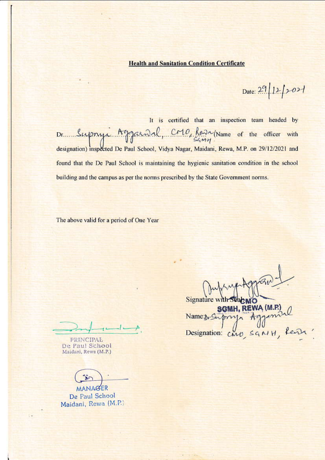## **Health and Sanitation Condition Certificate**

Date: 29 12/2021

It is certified that an inspection team headed by Dr. Supryi Aggainal, CMO, Resa Name of the officer with designation) inspected De Paul School, Vidya Nagar, Maidani, Rewa, M.P. on 29/12/2021 and found that the De Paul School is maintaining the hygienic sanitation condition in the school building and the campus as per the norms prescribed by the State Government norms.

The above valid for a period of One Year

**PRINCIPAL** De Paul School Maidani, Rewa (M.P.)

MANAGER De Paul School Maidani, Rewa (M.P.)

Signature y **ACMO** 

SGMH, REWA (M.P.)<br>Name: supry Aggeniul